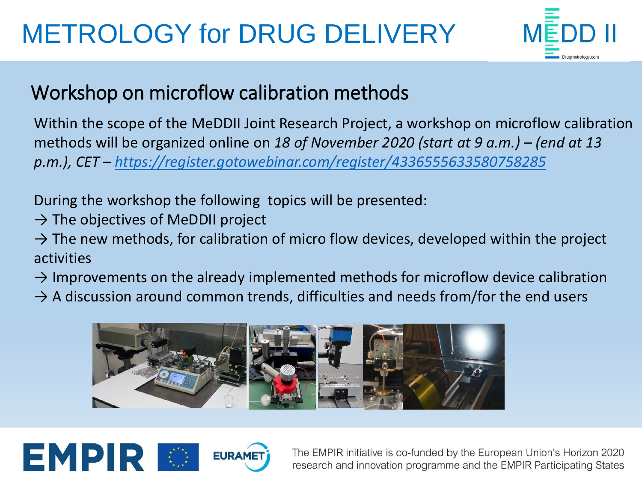## METROLOGY for DRUG DELIVERY



## Workshop on microflow calibration methods

Within the scope of the MeDDII Joint Research Project, a workshop on microflow calibration methods will be organized online on 18 of November 2020 (start at 9 a.m.) – (end at 13 *p.m.), CET – <https://register.gotowebinar.com/register/4336555633580758285>*

During the workshop the following topics will be presented:

- $\rightarrow$  The objectives of MeDDII project
- $\rightarrow$  The new methods, for calibration of micro flow devices, developed within the project activities
- $\rightarrow$  Improvements on the already implemented methods for microflow device calibration
- $\rightarrow$  A discussion around common trends, difficulties and needs from/for the end users





The EMPIR initiative is co-funded by the European Union's Horizon 2020 research and innovation programme and the EMPIR Participating States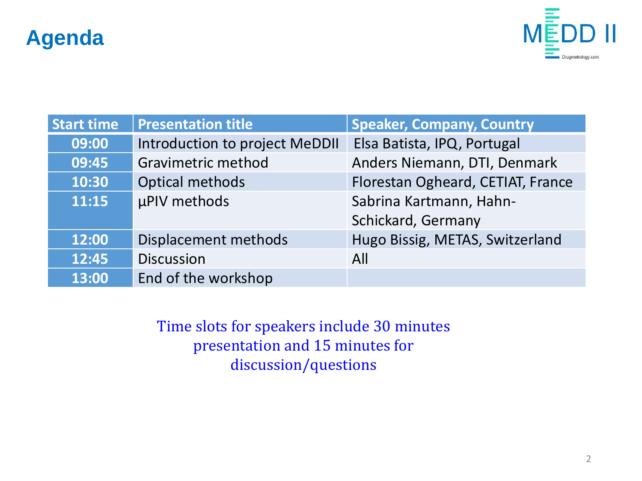## **Agenda**



| <b>Start time</b> | <b>Presentation title</b>      | <b>Speaker, Company, Country</b>  |
|-------------------|--------------------------------|-----------------------------------|
| 09:00             | Introduction to project MeDDII | Elsa Batista, IPQ, Portugal       |
| 09:45             | <b>Gravimetric method</b>      | Anders Niemann, DTI, Denmark      |
| 10:30             | <b>Optical methods</b>         | Florestan Ogheard, CETIAT, France |
| 11:15             | µPIV methods                   | Sabrina Kartmann, Hahn-           |
|                   |                                | Schickard, Germany                |
| 12:00             | Displacement methods           | Hugo Bissig, METAS, Switzerland   |
| 12:45             | <b>Discussion</b>              | All                               |
| 13:00             | End of the workshop            |                                   |

Time slots for speakers include 30 minutes presentation and 15 minutes for discussion/questions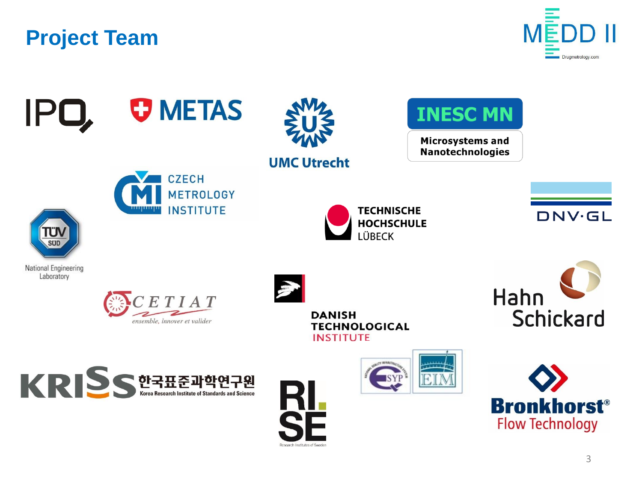